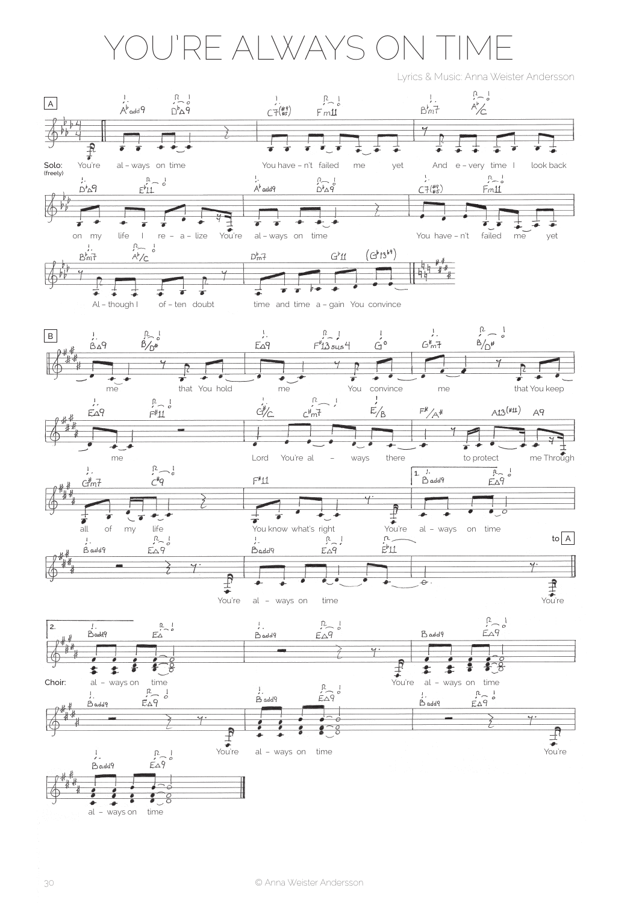## YoU'Re ALWAYs oN TIMe

Lyrics & Music: Anna Weister Andersson